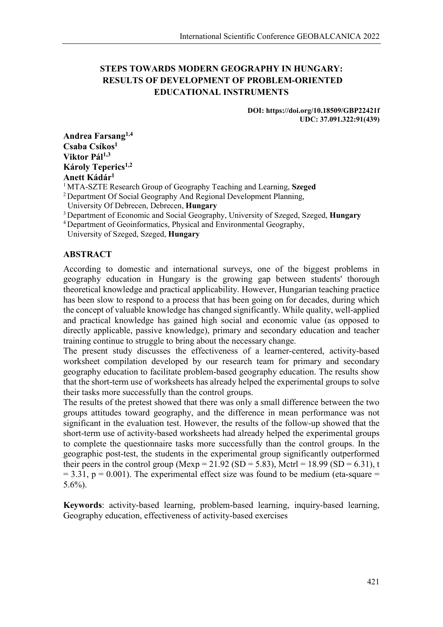# **STEPS TOWARDS MODERN GEOGRAPHY IN HUNGARY: RESULTS OF DEVELOPMENT OF PROBLEM-ORIENTED EDUCATIONAL INSTRUMENTS**

#### **DOI: https://doi.org/10.18509/GBP22421f UDC: 37.091.322:91(439)**

**Andrea Farsang1,4 Csaba Csíkos1 Viktor Pál1,3 Károly Teperics1,2 Anett Kádár<sup>1</sup>**

<sup>1</sup> MTA-SZTE Research Group of Geography Teaching and Learning, **Szeged**

<sup>2</sup> Department Of Social Geography And Regional Development Planning,

University Of Debrecen, Debrecen, **Hungary**

<sup>3</sup> Department of Economic and Social Geography, University of Szeged, Szeged, **Hungary**

<sup>4</sup> Department of Geoinformatics, Physical and Environmental Geography,

University of Szeged, Szeged, **Hungary**

## **ABSTRACT**

According to domestic and international surveys, one of the biggest problems in geography education in Hungary is the growing gap between students' thorough theoretical knowledge and practical applicability. However, Hungarian teaching practice has been slow to respond to a process that has been going on for decades, during which the concept of valuable knowledge has changed significantly. While quality, well-applied and practical knowledge has gained high social and economic value (as opposed to directly applicable, passive knowledge), primary and secondary education and teacher training continue to struggle to bring about the necessary change.

The present study discusses the effectiveness of a learner-centered, activity-based worksheet compilation developed by our research team for primary and secondary geography education to facilitate problem-based geography education. The results show that the short-term use of worksheets has already helped the experimental groups to solve their tasks more successfully than the control groups.

The results of the pretest showed that there was only a small difference between the two groups attitudes toward geography, and the difference in mean performance was not significant in the evaluation test. However, the results of the follow-up showed that the short-term use of activity-based worksheets had already helped the experimental groups to complete the questionnaire tasks more successfully than the control groups. In the geographic post-test, the students in the experimental group significantly outperformed their peers in the control group (Mexp = 21.92 (SD = 5.83), Mctrl = 18.99 (SD = 6.31), t  $= 3.31$ ,  $p = 0.001$ ). The experimental effect size was found to be medium (eta-square  $=$ 5.6%).

**Keywords**: activity-based learning, problem-based learning, inquiry-based learning, Geography education, effectiveness of activity-based exercises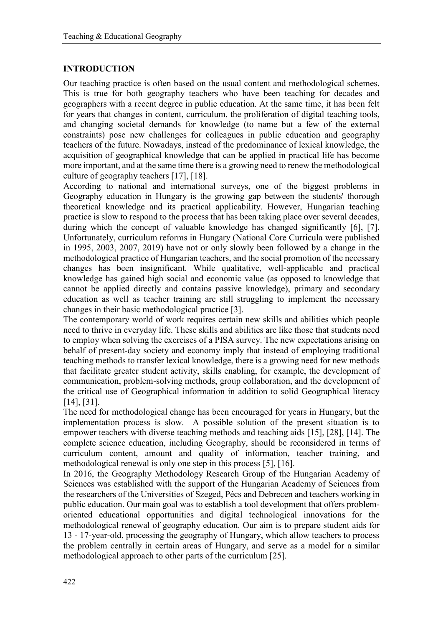## **INTRODUCTION**

Our teaching practice is often based on the usual content and methodological schemes. This is true for both geography teachers who have been teaching for decades and geographers with a recent degree in public education. At the same time, it has been felt for years that changes in content, curriculum, the proliferation of digital teaching tools, and changing societal demands for knowledge (to name but a few of the external constraints) pose new challenges for colleagues in public education and geography teachers of the future. Nowadays, instead of the predominance of lexical knowledge, the acquisition of geographical knowledge that can be applied in practical life has become more important, and at the same time there is a growing need to renew the methodological culture of geography teachers [17], [18].

According to national and international surveys, one of the biggest problems in Geography education in Hungary is the growing gap between the students' thorough theoretical knowledge and its practical applicability. However, Hungarian teaching practice is slow to respond to the process that has been taking place over several decades, during which the concept of valuable knowledge has changed significantly [6], [7]. Unfortunately, curriculum reforms in Hungary (National Core Curricula were published in 1995, 2003, 2007, 2019) have not or only slowly been followed by a change in the methodological practice of Hungarian teachers, and the social promotion of the necessary changes has been insignificant. While qualitative, well-applicable and practical knowledge has gained high social and economic value (as opposed to knowledge that cannot be applied directly and contains passive knowledge), primary and secondary education as well as teacher training are still struggling to implement the necessary changes in their basic methodological practice [3].

The contemporary world of work requires certain new skills and abilities which people need to thrive in everyday life. These skills and abilities are like those that students need to employ when solving the exercises of a PISA survey. The new expectations arising on behalf of present-day society and economy imply that instead of employing traditional teaching methods to transfer lexical knowledge, there is a growing need for new methods that facilitate greater student activity, skills enabling, for example, the development of communication, problem-solving methods, group collaboration, and the development of the critical use of Geographical information in addition to solid Geographical literacy [14], [31].

The need for methodological change has been encouraged for years in Hungary, but the implementation process is slow. A possible solution of the present situation is to empower teachers with diverse teaching methods and teaching aids [15], [28], [14]. The complete science education, including Geography, should be reconsidered in terms of curriculum content, amount and quality of information, teacher training, and methodological renewal is only one step in this process [5], [16].

In 2016, the Geography Methodology Research Group of the Hungarian Academy of Sciences was established with the support of the Hungarian Academy of Sciences from the researchers of the Universities of Szeged, Pécs and Debrecen and teachers working in public education. Our main goal was to establish a tool development that offers problemoriented educational opportunities and digital technological innovations for the methodological renewal of geography education. Our aim is to prepare student aids for 13 - 17-year-old, processing the geography of Hungary, which allow teachers to process the problem centrally in certain areas of Hungary, and serve as a model for a similar methodological approach to other parts of the curriculum [25].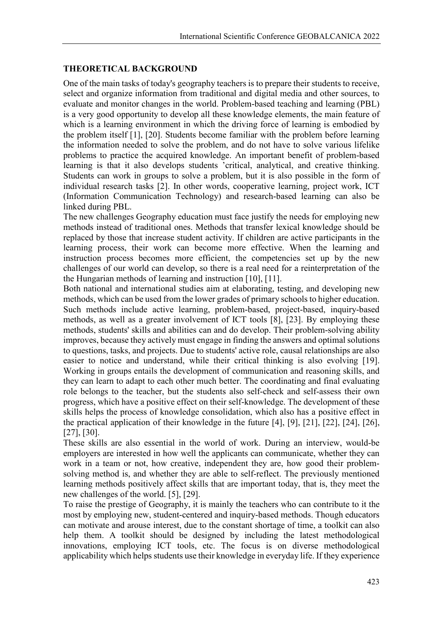## **THEORETICAL BACKGROUND**

One of the main tasks of today's geography teachers is to prepare their students to receive, select and organize information from traditional and digital media and other sources, to evaluate and monitor changes in the world. Problem-based teaching and learning (PBL) is a very good opportunity to develop all these knowledge elements, the main feature of which is a learning environment in which the driving force of learning is embodied by the problem itself [1], [20]. Students become familiar with the problem before learning the information needed to solve the problem, and do not have to solve various lifelike problems to practice the acquired knowledge. An important benefit of problem-based learning is that it also develops students 'critical, analytical, and creative thinking. Students can work in groups to solve a problem, but it is also possible in the form of individual research tasks [2]. In other words, cooperative learning, project work, ICT (Information Communication Technology) and research-based learning can also be linked during PBL.

The new challenges Geography education must face justify the needs for employing new methods instead of traditional ones. Methods that transfer lexical knowledge should be replaced by those that increase student activity. If children are active participants in the learning process, their work can become more effective. When the learning and instruction process becomes more efficient, the competencies set up by the new challenges of our world can develop, so there is a real need for a reinterpretation of the the Hungarian methods of learning and instruction [10], [11].

Both national and international studies aim at elaborating, testing, and developing new methods, which can be used from the lower grades of primary schools to higher education. Such methods include active learning, problem-based, project-based, inquiry-based methods, as well as a greater involvement of ICT tools [8], [23]. By employing these methods, students' skills and abilities can and do develop. Their problem-solving ability improves, because they actively must engage in finding the answers and optimal solutions to questions, tasks, and projects. Due to students' active role, causal relationships are also easier to notice and understand, while their critical thinking is also evolving [19]. Working in groups entails the development of communication and reasoning skills, and they can learn to adapt to each other much better. The coordinating and final evaluating role belongs to the teacher, but the students also self-check and self-assess their own progress, which have a positive effect on their self-knowledge. The development of these skills helps the process of knowledge consolidation, which also has a positive effect in the practical application of their knowledge in the future [4], [9], [21], [22], [24], [26], [27], [30].

These skills are also essential in the world of work. During an interview, would-be employers are interested in how well the applicants can communicate, whether they can work in a team or not, how creative, independent they are, how good their problemsolving method is, and whether they are able to self-reflect. The previously mentioned learning methods positively affect skills that are important today, that is, they meet the new challenges of the world. [5], [29].

To raise the prestige of Geography, it is mainly the teachers who can contribute to it the most by employing new, student-centered and inquiry-based methods. Though educators can motivate and arouse interest, due to the constant shortage of time, a toolkit can also help them. A toolkit should be designed by including the latest methodological innovations, employing ICT tools, etc. The focus is on diverse methodological applicability which helps students use their knowledge in everyday life. If they experience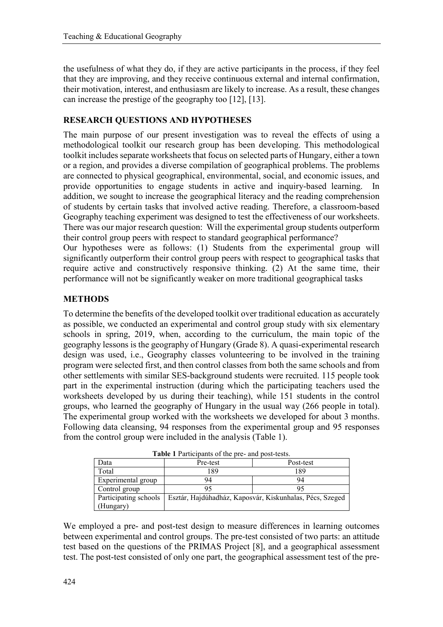the usefulness of what they do, if they are active participants in the process, if they feel that they are improving, and they receive continuous external and internal confirmation, their motivation, interest, and enthusiasm are likely to increase. As a result, these changes can increase the prestige of the geography too [12], [13].

## **RESEARCH QUESTIONS AND HYPOTHESES**

The main purpose of our present investigation was to reveal the effects of using a methodological toolkit our research group has been developing. This methodological toolkit includes separate worksheets that focus on selected parts of Hungary, either a town or a region, and provides a diverse compilation of geographical problems. The problems are connected to physical geographical, environmental, social, and economic issues, and provide opportunities to engage students in active and inquiry-based learning. addition, we sought to increase the geographical literacy and the reading comprehension of students by certain tasks that involved active reading. Therefore, a classroom-based Geography teaching experiment was designed to test the effectiveness of our worksheets. There was our major research question: Will the experimental group students outperform their control group peers with respect to standard geographical performance? Our hypotheses were as follows: (1) Students from the experimental group will significantly outperform their control group peers with respect to geographical tasks that require active and constructively responsive thinking. (2) At the same time, their

performance will not be significantly weaker on more traditional geographical tasks

## **METHODS**

To determine the benefits of the developed toolkit over traditional education as accurately as possible, we conducted an experimental and control group study with six elementary schools in spring, 2019, when, according to the curriculum, the main topic of the geography lessons is the geography of Hungary (Grade 8). A quasi-experimental research design was used, i.e., Geography classes volunteering to be involved in the training program were selected first, and then control classes from both the same schools and from other settlements with similar SES-background students were recruited. 115 people took part in the experimental instruction (during which the participating teachers used the worksheets developed by us during their teaching), while 151 students in the control groups, who learned the geography of Hungary in the usual way (266 people in total). The experimental group worked with the worksheets we developed for about 3 months. Following data cleansing, 94 responses from the experimental group and 95 responses from the control group were included in the analysis (Table 1).

| <b>Table 1</b> Participants of the pre- and post-tests. |          |                                                          |  |  |  |  |  |
|---------------------------------------------------------|----------|----------------------------------------------------------|--|--|--|--|--|
| Data                                                    | Pre-test | Post-test                                                |  |  |  |  |  |
| Total                                                   | 189      | 189                                                      |  |  |  |  |  |
| Experimental group                                      | 94       | 94                                                       |  |  |  |  |  |
| Control group                                           |          | 95                                                       |  |  |  |  |  |
| Participating schools                                   |          | Esztár, Hajdúhadház, Kaposvár, Kiskunhalas, Pécs, Szeged |  |  |  |  |  |
| (Hungary)                                               |          |                                                          |  |  |  |  |  |

**Table 1** Participants of the pre- and post-tests.

We employed a pre- and post-test design to measure differences in learning outcomes between experimental and control groups. The pre-test consisted of two parts: an attitude test based on the questions of the PRIMAS Project [8], and a geographical assessment test. The post-test consisted of only one part, the geographical assessment test of the pre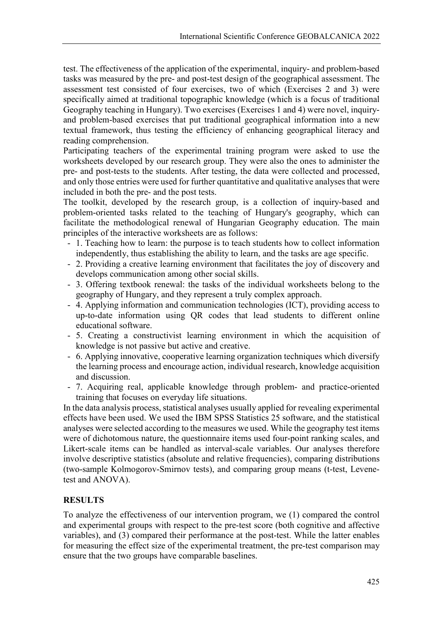test. The effectiveness of the application of the experimental, inquiry- and problem-based tasks was measured by the pre- and post-test design of the geographical assessment. The assessment test consisted of four exercises, two of which (Exercises 2 and 3) were specifically aimed at traditional topographic knowledge (which is a focus of traditional Geography teaching in Hungary). Two exercises (Exercises 1 and 4) were novel, inquiryand problem-based exercises that put traditional geographical information into a new textual framework, thus testing the efficiency of enhancing geographical literacy and reading comprehension.

Participating teachers of the experimental training program were asked to use the worksheets developed by our research group. They were also the ones to administer the pre- and post-tests to the students. After testing, the data were collected and processed, and only those entries were used for further quantitative and qualitative analyses that were included in both the pre- and the post tests.

The toolkit, developed by the research group, is a collection of inquiry-based and problem-oriented tasks related to the teaching of Hungary's geography, which can facilitate the methodological renewal of Hungarian Geography education. The main principles of the interactive worksheets are as follows:

- 1. Teaching how to learn: the purpose is to teach students how to collect information independently, thus establishing the ability to learn, and the tasks are age specific.
- 2. Providing a creative learning environment that facilitates the joy of discovery and develops communication among other social skills.
- 3. Offering textbook renewal: the tasks of the individual worksheets belong to the geography of Hungary, and they represent a truly complex approach.
- 4. Applying information and communication technologies (ICT), providing access to up-to-date information using QR codes that lead students to different online educational software.
- 5. Creating a constructivist learning environment in which the acquisition of knowledge is not passive but active and creative.
- 6. Applying innovative, cooperative learning organization techniques which diversify the learning process and encourage action, individual research, knowledge acquisition and discussion.
- 7. Acquiring real, applicable knowledge through problem- and practice-oriented training that focuses on everyday life situations.

In the data analysis process, statistical analyses usually applied for revealing experimental effects have been used. We used the IBM SPSS Statistics 25 software, and the statistical analyses were selected according to the measures we used. While the geography test items were of dichotomous nature, the questionnaire items used four-point ranking scales, and Likert-scale items can be handled as interval-scale variables. Our analyses therefore involve descriptive statistics (absolute and relative frequencies), comparing distributions (two-sample Kolmogorov-Smirnov tests), and comparing group means (t-test, Levenetest and ANOVA).

## **RESULTS**

To analyze the effectiveness of our intervention program, we (1) compared the control and experimental groups with respect to the pre-test score (both cognitive and affective variables), and (3) compared their performance at the post-test. While the latter enables for measuring the effect size of the experimental treatment, the pre-test comparison may ensure that the two groups have comparable baselines.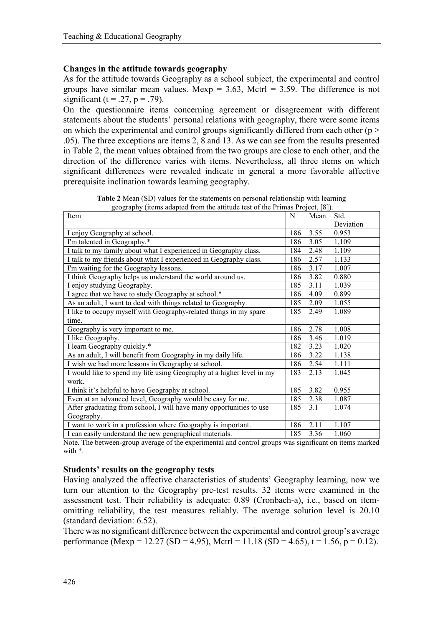## **Changes in the attitude towards geography**

As for the attitude towards Geography as a school subject, the experimental and control groups have similar mean values. Mexp =  $3.63$ , Mctrl =  $3.59$ . The difference is not significant (t = .27, p = .79).

On the questionnaire items concerning agreement or disagreement with different statements about the students' personal relations with geography, there were some items on which the experimental and control groups significantly differed from each other ( $p$  > .05). The three exceptions are items 2, 8 and 13. As we can see from the results presented in Table 2, the mean values obtained from the two groups are close to each other, and the direction of the difference varies with items. Nevertheless, all three items on which significant differences were revealed indicate in general a more favorable affective prerequisite inclination towards learning geography.

| Item                                                                  | N   | Mean | Std.      |
|-----------------------------------------------------------------------|-----|------|-----------|
|                                                                       |     |      | Deviation |
| I enjoy Geography at school.                                          | 186 | 3.55 | 0.953     |
| I'm talented in Geography.*                                           | 186 | 3.05 | 1,109     |
| I talk to my family about what I experienced in Geography class.      | 184 | 2.48 | 1.109     |
| I talk to my friends about what I experienced in Geography class.     | 186 | 2.57 | 1.133     |
| I'm waiting for the Geography lessons.                                | 186 | 3.17 | 1.007     |
| I think Geography helps us understand the world around us.            | 186 | 3.82 | 0.880     |
| I enjoy studying Geography.                                           | 185 | 3.11 | 1.039     |
| I agree that we have to study Geography at school.*                   | 186 | 4.09 | 0.899     |
| As an adult, I want to deal with things related to Geography.         | 185 | 2.09 | 1.055     |
| I like to occupy myself with Geography-related things in my spare     | 185 | 2.49 | 1.089     |
| time.                                                                 |     |      |           |
| Geography is very important to me.                                    | 186 | 2.78 | 1.008     |
| I like Geography.                                                     | 186 | 3.46 | 1.019     |
| I learn Geography quickly.*                                           | 182 | 3.23 | 1.020     |
| As an adult, I will benefit from Geography in my daily life.          | 186 | 3.22 | 1.138     |
| I wish we had more lessons in Geography at school.                    |     | 2.54 | 1.111     |
| I would like to spend my life using Geography at a higher level in my | 183 | 2.13 | 1.045     |
| work.                                                                 |     |      |           |
| I think it's helpful to have Geography at school.                     |     | 3.82 | 0.955     |
| Even at an advanced level, Geography would be easy for me.            | 185 | 2.38 | 1.087     |
| After graduating from school, I will have many opportunities to use   | 185 | 3.1  | 1.074     |
| Geography.                                                            |     |      |           |
| I want to work in a profession where Geography is important.          | 186 | 2.11 | 1.107     |
| I can easily understand the new geographical materials.               | 185 | 3.36 | 1.060     |

**Table 2** Mean (SD) values for the statements on personal relationship with learning geography (items adapted from the attitude test of the Primas Project, [8]).

Note. The between-group average of the experimental and control groups was significant on items marked with \*.

#### **Students' results on the geography tests**

Having analyzed the affective characteristics of students' Geography learning, now we turn our attention to the Geography pre-test results. 32 items were examined in the assessment test. Their reliability is adequate: 0.89 (Cronbach-a), i.e., based on itemomitting reliability, the test measures reliably. The average solution level is 20.10 (standard deviation: 6.52).

There was no significant difference between the experimental and control group's average performance (Mexp = 12.27 (SD = 4.95), Mctrl = 11.18 (SD = 4.65), t = 1.56, p = 0.12).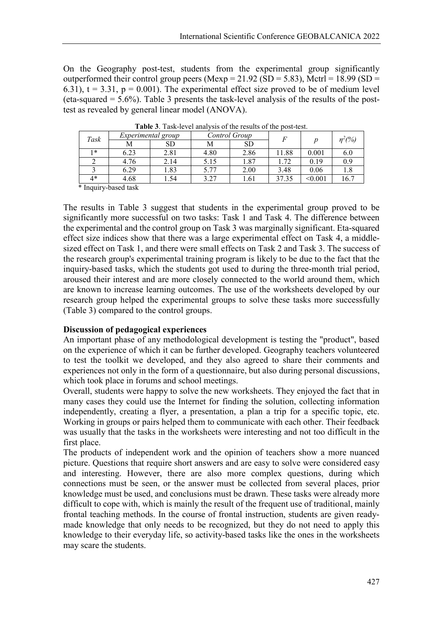On the Geography post-test, students from the experimental group significantly outperformed their control group peers (Mexp =  $21.92$  (SD =  $5.83$ ), Mctrl = 18.99 (SD = 6.31),  $t = 3.31$ ,  $p = 0.001$ ). The experimental effect size proved to be of medium level (eta-squared  $= 5.6\%$ ). Table 3 presents the task-level analysis of the results of the posttest as revealed by general linear model (ANOVA).

| Task | Experimental group |           | Control Group |           | E     |                | $\eta^2$ (%) |
|------|--------------------|-----------|---------------|-----------|-------|----------------|--------------|
|      | М                  | <b>SD</b> | М             | <b>SD</b> |       |                |              |
| 1∗   | 6.23               | 2.81      | 4.80          | 2.86      | 11.88 | 0.001          | 6.0          |
|      | 4.76               | 2.14      | 5.15          | 1.87      | 1.72  | 0.19           | 0.9          |
|      | 6.29               | .83       | 5.77          | 2.00      | 3.48  | 0.06           | 1.8          |
| 4*   | 4.68               | .54       | 3.27          | 1.61      | 37.35 | $<$ 0.001 $\,$ | 16.7         |

**Table 3**. Task-level analysis of the results of the post-test.

\* Inquiry-based task

The results in Table 3 suggest that students in the experimental group proved to be significantly more successful on two tasks: Task 1 and Task 4. The difference between the experimental and the control group on Task 3 was marginally significant. Eta-squared effect size indices show that there was a large experimental effect on Task 4, a middlesized effect on Task 1, and there were small effects on Task 2 and Task 3. The success of the research group's experimental training program is likely to be due to the fact that the inquiry-based tasks, which the students got used to during the three-month trial period, aroused their interest and are more closely connected to the world around them, which are known to increase learning outcomes. The use of the worksheets developed by our research group helped the experimental groups to solve these tasks more successfully (Table 3) compared to the control groups.

#### **Discussion of pedagogical experiences**

An important phase of any methodological development is testing the "product", based on the experience of which it can be further developed. Geography teachers volunteered to test the toolkit we developed, and they also agreed to share their comments and experiences not only in the form of a questionnaire, but also during personal discussions, which took place in forums and school meetings.

Overall, students were happy to solve the new worksheets. They enjoyed the fact that in many cases they could use the Internet for finding the solution, collecting information independently, creating a flyer, a presentation, a plan a trip for a specific topic, etc. Working in groups or pairs helped them to communicate with each other. Their feedback was usually that the tasks in the worksheets were interesting and not too difficult in the first place.

The products of independent work and the opinion of teachers show a more nuanced picture. Questions that require short answers and are easy to solve were considered easy and interesting. However, there are also more complex questions, during which connections must be seen, or the answer must be collected from several places, prior knowledge must be used, and conclusions must be drawn. These tasks were already more difficult to cope with, which is mainly the result of the frequent use of traditional, mainly frontal teaching methods. In the course of frontal instruction, students are given readymade knowledge that only needs to be recognized, but they do not need to apply this knowledge to their everyday life, so activity-based tasks like the ones in the worksheets may scare the students.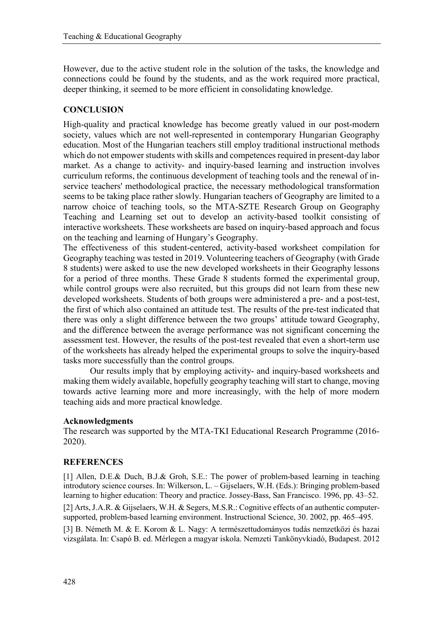However, due to the active student role in the solution of the tasks, the knowledge and connections could be found by the students, and as the work required more practical, deeper thinking, it seemed to be more efficient in consolidating knowledge.

## **CONCLUSION**

High-quality and practical knowledge has become greatly valued in our post-modern society, values which are not well-represented in contemporary Hungarian Geography education. Most of the Hungarian teachers still employ traditional instructional methods which do not empower students with skills and competences required in present-day labor market. As a change to activity- and inquiry-based learning and instruction involves curriculum reforms, the continuous development of teaching tools and the renewal of inservice teachers' methodological practice, the necessary methodological transformation seems to be taking place rather slowly. Hungarian teachers of Geography are limited to a narrow choice of teaching tools, so the MTA-SZTE Research Group on Geography Teaching and Learning set out to develop an activity-based toolkit consisting of interactive worksheets. These worksheets are based on inquiry-based approach and focus on the teaching and learning of Hungary's Geography.

The effectiveness of this student-centered, activity-based worksheet compilation for Geography teaching was tested in 2019. Volunteering teachers of Geography (with Grade 8 students) were asked to use the new developed worksheets in their Geography lessons for a period of three months. These Grade 8 students formed the experimental group, while control groups were also recruited, but this groups did not learn from these new developed worksheets. Students of both groups were administered a pre- and a post-test, the first of which also contained an attitude test. The results of the pre-test indicated that there was only a slight difference between the two groups' attitude toward Geography, and the difference between the average performance was not significant concerning the assessment test. However, the results of the post-test revealed that even a short-term use of the worksheets has already helped the experimental groups to solve the inquiry-based tasks more successfully than the control groups.

Our results imply that by employing activity- and inquiry-based worksheets and making them widely available, hopefully geography teaching will start to change, moving towards active learning more and more increasingly, with the help of more modern teaching aids and more practical knowledge.

#### **Acknowledgments**

The research was supported by the MTA-TKI Educational Research Programme (2016- 2020).

#### **REFERENCES**

[1] Allen, D.E.& Duch, B.J.& Groh, S.E.: The power of problem-based learning in teaching introdutory science courses. In: Wilkerson, L. – Gijselaers, W.H. (Eds.): Bringing problem-based learning to higher education: Theory and practice. Jossey-Bass, San Francisco. 1996, pp. 43–52.

[2] Arts, J.A.R. & Gijselaers, W.H. & Segers, M.S.R.: Cognitive effects of an authentic computersupported, problem-based learning environment. Instructional Science, 30. 2002, pp. 465–495.

[3] B. Németh M. & E. Korom & L. Nagy: A természettudományos tudás nemzetközi és hazai vizsgálata. In: Csapó B. ed. Mérlegen a magyar iskola. Nemzeti Tankönyvkiadó, Budapest. 2012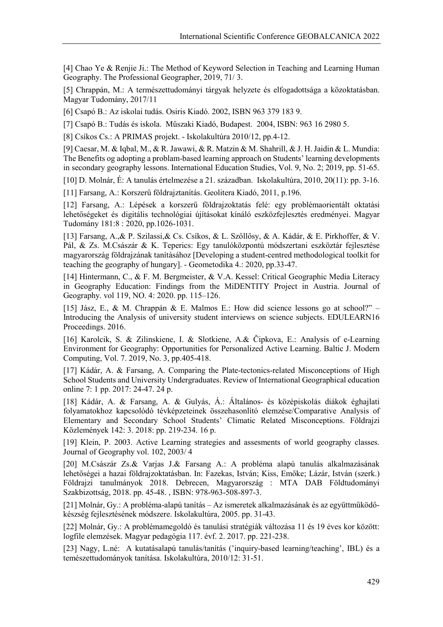[4] Chao Ye & Renjie Ji.: The Method of Keyword Selection in Teaching and Learning Human Geography. The Professional Geographer, 2019, 71/ 3.

[5] Chrappán, M.: A természettudományi tárgyak helyzete és elfogadottsága a közoktatásban. Magyar Tudomány, 2017/11

[6] Csapó B.: Az iskolai tudás. Osiris Kiadó. 2002, ISBN 963 379 183 9.

[7] Csapó B.: Tudás és iskola. Műszaki Kiadó, Budapest. 2004, ISBN: 963 16 2980 5.

[8] Csíkos Cs.: A PRIMAS projekt. - Iskolakultúra 2010/12, pp.4-12.

[9] Caesar, M. & Iqbal, M., & R. Jawawi, & R. Matzin & M. Shahrill, & J. H. Jaidin & L. Mundia: The Benefits og adopting a problam-based learning approach on Students' learning developments in secondary geography lessons. International Education Studies, Vol. 9, No. 2; 2019, pp. 51-65.

[10] D. Molnár, É: A tanulás értelmezése a 21. században. Iskolakultúra, 2010, 20(11): pp. 3-16.

[11] Farsang, A.: Korszerű földrajztanítás. Geolitera Kiadó, 2011, p.196.

[12] Farsang, A.: Lépések a korszerű földrajzoktatás felé: egy problémaorientált oktatási lehetőségeket és digitális technológiai újításokat kínáló eszközfejlesztés eredményei. Magyar Tudomány 181:8 : 2020, pp.1026-1031.

[13] Farsang, A.,& P. Szilassi,& Cs. Csíkos, & L. Szőllősy, & A. Kádár, & E. Pirkhoffer, & V. Pál, & Zs. M.Császár & K. Teperics: Egy tanulóközpontú módszertani eszköztár fejlesztése magyarország földrajzának tanításához [Developing a student-centred methodological toolkit for teaching the geography of hungary]. - Geometodika 4.: 2020, pp.33-47.

[14] Hintermann, C., & F. M. Bergmeister, & V.A. Kessel: Critical Geographic Media Literacy in Geography Education: Findings from the MiDENTITY Project in Austria. Journal of Geography. vol 119, NO. 4: 2020. pp. 115–126.

[15] Jász, E., & M. Chrappán & E. Malmos E.: How did science lessons go at school?" – Introducing the Analysis of university student interviews on science subjects. EDULEARN16 Proceedings. 2016.

[16] Karolcik, S. & Zilinskiene, I. & Slotkiene, A.& Čipkova, E.: Analysis of e-Learning Environment for Geography: Opportunities for Personalized Active Learning. Baltic J. Modern Computing, Vol. 7. 2019, No. 3, pp.405-418.

[17] Kádár, A. & Farsang, A. Comparing the Plate-tectonics-related Misconceptions of High School Students and University Undergraduates. Review of International Geographical education online 7: 1 pp. 2017: 24-47. 24 p.

[18] Kádár, A. & Farsang, A. & Gulyás, Á.: Általános- és középiskolás diákok éghajlati folyamatokhoz kapcsolódó tévképzeteinek összehasonlító elemzése/Comparative Analysis of Elementary and Secondary School Students' Climatic Related Misconceptions. Földrajzi Közlemények 142: 3. 2018: pp. 219-234. 16 p.

[19] Klein, P. 2003. Active Learning strategies and assesments of world geography classes. Journal of Geography vol. 102, 2003/ 4

[20] M.Császár Zs.& Varjas J.& Farsang A.: A probléma alapú tanulás alkalmazásának lehetőségei a hazai földrajzoktatásban. In: Fazekas, István; Kiss, Emőke; Lázár, István (szerk.) Földrajzi tanulmányok 2018. Debrecen, Magyarország : MTA DAB Földtudományi Szakbizottság, 2018. pp. 45-48. , ISBN: 978-963-508-897-3.

[21] Molnár, Gy.: A probléma-alapú tanítás – Az ismeretek alkalmazásának és az együttműködőkészség fejlesztésének módszere. Iskolakultúra, 2005. pp. 31-43.

[22] Molnár, Gy.: A problémamegoldó és tanulási stratégiák változása 11 és 19 éves kor között: logfile elemzések. Magyar pedagógia 117. évf. 2. 2017. pp. 221-238.

[23] Nagy, L.né: A kutatásalapú tanulás/tanítás ('inquiry-based learning/teaching', IBL) és a temészettudományok tanítása. Iskolakultúra, 2010/12: 31-51.